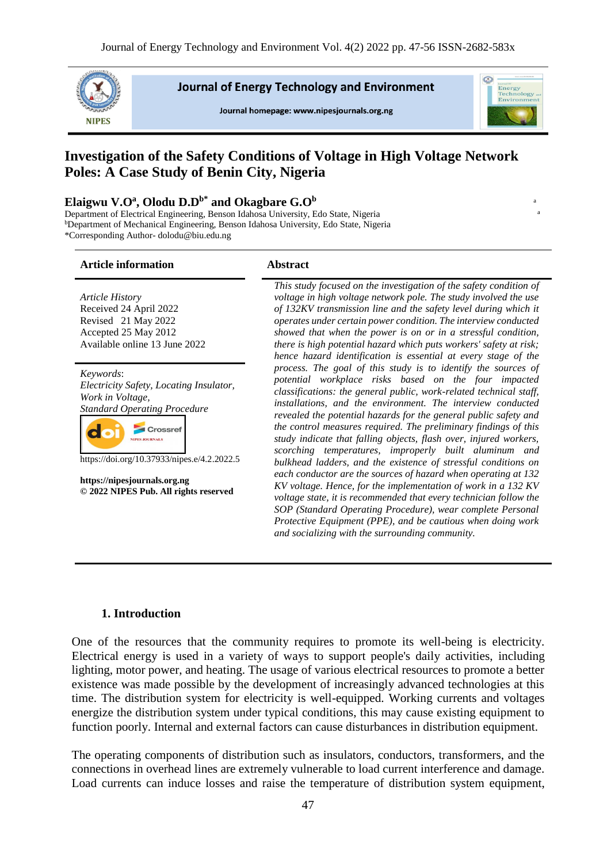

**Journal of Energy Technology and Environment** 

Journal homepage: www.nipesjournals.org.ng



a

# **Investigation of the Safety Conditions of Voltage in High Voltage Network Poles: A Case Study of Benin City, Nigeria**

#### **Elaigwu V.O<sup>a</sup> , Olodu D.Db\* and Okagbare G.O<sup>b</sup>**<sup>a</sup>

**Article information Abstract**

Department of Electrical Engineering, Benson Idahosa University, Edo State, Nigeria <sup>b</sup>Department of Mechanical Engineering, Benson Idahosa University, Edo State, Nigeria \*Corresponding Author- dolodu@biu.edu.ng

| <b>Article History</b><br>Received 24 April 2022<br>Revised 21 May 2022<br>Accepted 25 May 2012<br>Available online 13 June 2022                                                                                                                                            | This study focused on the investigation of the safety condition of<br>voltage in high voltage network pole. The study involved the use<br>of 132KV transmission line and the safety level during which it<br>operates under certain power condition. The interview conducted<br>showed that when the power is on or in a stressful condition,<br>there is high potential hazard which puts workers' safety at risk;<br>hence hazard identification is essential at every stage of the                                                                                                                                                                                                                                                                                                                                                                                                                                                                                                     |  |
|-----------------------------------------------------------------------------------------------------------------------------------------------------------------------------------------------------------------------------------------------------------------------------|-------------------------------------------------------------------------------------------------------------------------------------------------------------------------------------------------------------------------------------------------------------------------------------------------------------------------------------------------------------------------------------------------------------------------------------------------------------------------------------------------------------------------------------------------------------------------------------------------------------------------------------------------------------------------------------------------------------------------------------------------------------------------------------------------------------------------------------------------------------------------------------------------------------------------------------------------------------------------------------------|--|
| Keywords:<br>Electricity Safety, Locating Insulator,<br>Work in Voltage,<br><b>Standard Operating Procedure</b><br>rossref<br><b>NIPES JOURNALS</b><br>https://doi.org/10.37933/nipes.e/4.2.2022.5<br>https://nipesjournals.org.ng<br>© 2022 NIPES Pub. All rights reserved | process. The goal of this study is to identify the sources of<br>potential workplace risks based on the four impacted<br>classifications: the general public, work-related technical staff,<br>installations, and the environment. The interview conducted<br>revealed the potential hazards for the general public safety and<br>the control measures required. The preliminary findings of this<br>study indicate that falling objects, flash over, injured workers,<br>scorching temperatures, improperly built aluminum and<br>bulkhead ladders, and the existence of stressful conditions on<br>each conductor are the sources of hazard when operating at 132<br>KV voltage. Hence, for the implementation of work in a 132 KV<br>voltage state, it is recommended that every technician follow the<br>SOP (Standard Operating Procedure), wear complete Personal<br>Protective Equipment (PPE), and be cautious when doing work<br>and socializing with the surrounding community. |  |

#### **1. Introduction**

One of the resources that the community requires to promote its well-being is electricity. Electrical energy is used in a variety of ways to support people's daily activities, including lighting, motor power, and heating. The usage of various electrical resources to promote a better existence was made possible by the development of increasingly advanced technologies at this time. The distribution system for electricity is well-equipped. Working currents and voltages energize the distribution system under typical conditions, this may cause existing equipment to function poorly. Internal and external factors can cause disturbances in distribution equipment.

The operating components of distribution such as insulators, conductors, transformers, and the connections in overhead lines are extremely vulnerable to load current interference and damage. Load currents can induce losses and raise the temperature of distribution system equipment,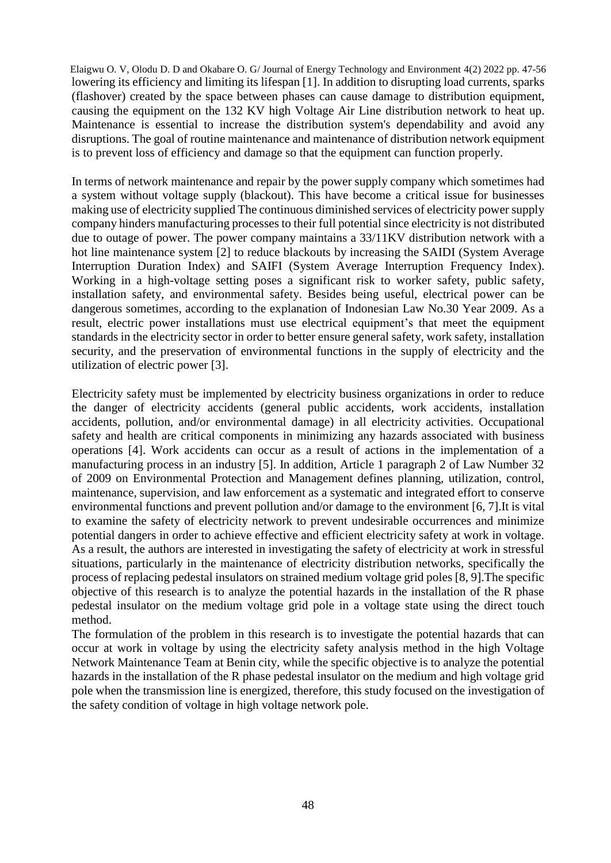Elaigwu O. V, Olodu D. D and Okabare O. G/ Journal of Energy Technology and Environment 4(2) 2022 pp. 47-56 lowering its efficiency and limiting its lifespan [1]. In addition to disrupting load currents, sparks (flashover) created by the space between phases can cause damage to distribution equipment, causing the equipment on the 132 KV high Voltage Air Line distribution network to heat up. Maintenance is essential to increase the distribution system's dependability and avoid any disruptions. The goal of routine maintenance and maintenance of distribution network equipment is to prevent loss of efficiency and damage so that the equipment can function properly.

In terms of network maintenance and repair by the power supply company which sometimes had a system without voltage supply (blackout). This have become a critical issue for businesses making use of electricity supplied The continuous diminished services of electricity power supply company hinders manufacturing processes to their full potential since electricity is not distributed due to outage of power. The power company maintains a 33/11KV distribution network with a hot line maintenance system [2] to reduce blackouts by increasing the SAIDI (System Average Interruption Duration Index) and SAIFI (System Average Interruption Frequency Index). Working in a high-voltage setting poses a significant risk to worker safety, public safety, installation safety, and environmental safety. Besides being useful, electrical power can be dangerous sometimes, according to the explanation of Indonesian Law No.30 Year 2009. As a result, electric power installations must use electrical equipment's that meet the equipment standards in the electricity sector in order to better ensure general safety, work safety, installation security, and the preservation of environmental functions in the supply of electricity and the utilization of electric power [3].

Electricity safety must be implemented by electricity business organizations in order to reduce the danger of electricity accidents (general public accidents, work accidents, installation accidents, pollution, and/or environmental damage) in all electricity activities. Occupational safety and health are critical components in minimizing any hazards associated with business operations [4]. Work accidents can occur as a result of actions in the implementation of a manufacturing process in an industry [5]. In addition, Article 1 paragraph 2 of Law Number 32 of 2009 on Environmental Protection and Management defines planning, utilization, control, maintenance, supervision, and law enforcement as a systematic and integrated effort to conserve environmental functions and prevent pollution and/or damage to the environment [6, 7].It is vital to examine the safety of electricity network to prevent undesirable occurrences and minimize potential dangers in order to achieve effective and efficient electricity safety at work in voltage. As a result, the authors are interested in investigating the safety of electricity at work in stressful situations, particularly in the maintenance of electricity distribution networks, specifically the process of replacing pedestal insulators on strained medium voltage grid poles [8, 9].The specific objective of this research is to analyze the potential hazards in the installation of the R phase pedestal insulator on the medium voltage grid pole in a voltage state using the direct touch method.

The formulation of the problem in this research is to investigate the potential hazards that can occur at work in voltage by using the electricity safety analysis method in the high Voltage Network Maintenance Team at Benin city, while the specific objective is to analyze the potential hazards in the installation of the R phase pedestal insulator on the medium and high voltage grid pole when the transmission line is energized, therefore, this study focused on the investigation of the safety condition of voltage in high voltage network pole.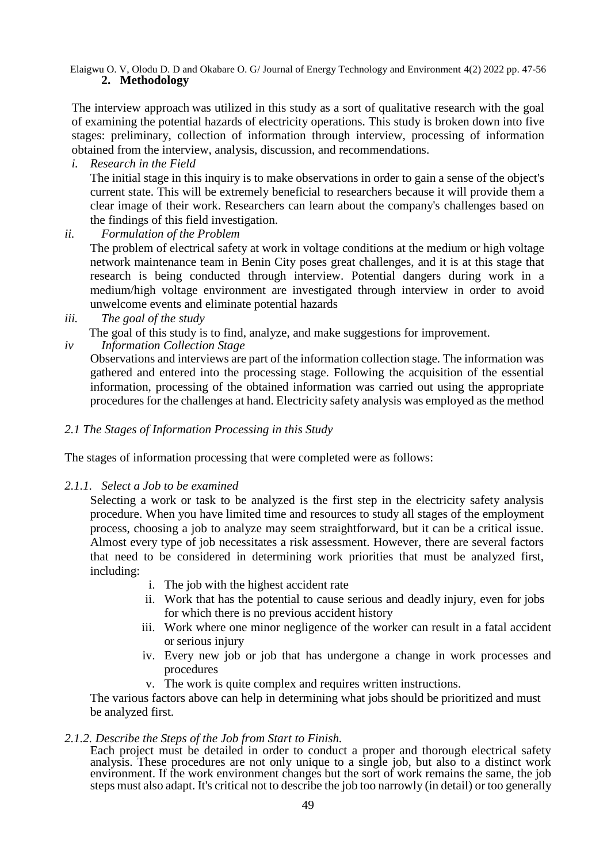The interview approach was utilized in this study as a sort of qualitative research with the goal of examining the potential hazards of electricity operations. This study is broken down into five stages: preliminary, collection of information through interview, processing of information obtained from the interview, analysis, discussion, and recommendations.

*i. Research in the Field*

The initial stage in this inquiry is to make observations in order to gain a sense of the object's current state. This will be extremely beneficial to researchers because it will provide them a clear image of their work. Researchers can learn about the company's challenges based on the findings of this field investigation.

*ii. Formulation of the Problem*

The problem of electrical safety at work in voltage conditions at the medium or high voltage network maintenance team in Benin City poses great challenges, and it is at this stage that research is being conducted through interview. Potential dangers during work in a medium/high voltage environment are investigated through interview in order to avoid unwelcome events and eliminate potential hazards

*iii. The goal of the study*

The goal of this study is to find, analyze, and make suggestions for improvement.

*iv Information Collection Stage*

Observations and interviews are part of the information collection stage. The information was gathered and entered into the processing stage. Following the acquisition of the essential information, processing of the obtained information was carried out using the appropriate procedures for the challenges at hand. Electricity safety analysis was employed as the method

### *2.1 The Stages of Information Processing in this Study*

The stages of information processing that were completed were as follows:

*2.1.1. Select a Job to be examined*

Selecting a work or task to be analyzed is the first step in the electricity safety analysis procedure. When you have limited time and resources to study all stages of the employment process, choosing a job to analyze may seem straightforward, but it can be a critical issue. Almost every type of job necessitates a risk assessment. However, there are several factors that need to be considered in determining work priorities that must be analyzed first, including:

- i. The job with the highest accident rate
- ii. Work that has the potential to cause serious and deadly injury, even for jobs for which there is no previous accident history
- iii. Work where one minor negligence of the worker can result in a fatal accident or serious injury
- iv. Every new job or job that has undergone a change in work processes and procedures
- v. The work is quite complex and requires written instructions.

The various factors above can help in determining what jobs should be prioritized and must be analyzed first.

#### *2.1.2. Describe the Steps of the Job from Start to Finish.*

Each project must be detailed in order to conduct a proper and thorough electrical safety analysis. These procedures are not only unique to a single job, but also to a distinct work environment. If the work environment changes but the sort of work remains the same, the job steps must also adapt. It's critical not to describe the job too narrowly (in detail) or too generally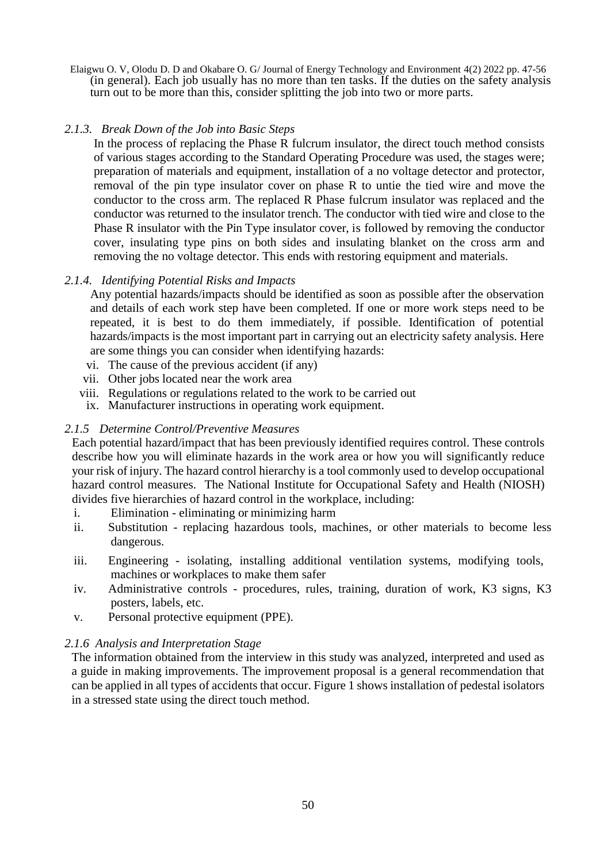Elaigwu O. V, Olodu D. D and Okabare O. G/ Journal of Energy Technology and Environment 4(2) 2022 pp. 47-56 (in general). Each job usually has no more than ten tasks. If the duties on the safety analysis turn out to be more than this, consider splitting the job into two or more parts.

## *2.1.3. Break Down of the Job into Basic Steps*

In the process of replacing the Phase R fulcrum insulator, the direct touch method consists of various stages according to the Standard Operating Procedure was used, the stages were; preparation of materials and equipment, installation of a no voltage detector and protector, removal of the pin type insulator cover on phase R to untie the tied wire and move the conductor to the cross arm. The replaced R Phase fulcrum insulator was replaced and the conductor was returned to the insulator trench. The conductor with tied wire and close to the Phase R insulator with the Pin Type insulator cover, is followed by removing the conductor cover, insulating type pins on both sides and insulating blanket on the cross arm and removing the no voltage detector. This ends with restoring equipment and materials.

## *2.1.4. Identifying Potential Risks and Impacts*

Any potential hazards/impacts should be identified as soon as possible after the observation and details of each work step have been completed. If one or more work steps need to be repeated, it is best to do them immediately, if possible. Identification of potential hazards/impacts is the most important part in carrying out an electricity safety analysis. Here are some things you can consider when identifying hazards:

- vi. The cause of the previous accident (if any)
- vii. Other jobs located near the work area
- viii. Regulations or regulations related to the work to be carried out
- ix. Manufacturer instructions in operating work equipment.

## *2.1.5 Determine Control/Preventive Measures*

Each potential hazard/impact that has been previously identified requires control. These controls describe how you will eliminate hazards in the work area or how you will significantly reduce your risk of injury. The hazard control hierarchy is a tool commonly used to develop occupational hazard control measures. The National Institute for Occupational Safety and Health (NIOSH) divides five hierarchies of hazard control in the workplace, including:

- i. Elimination eliminating or minimizing harm
- ii. Substitution replacing hazardous tools, machines, or other materials to become less dangerous.
- iii. Engineering isolating, installing additional ventilation systems, modifying tools, machines or workplaces to make them safer
- iv. Administrative controls procedures, rules, training, duration of work, K3 signs, K3 posters, labels, etc.
- v. Personal protective equipment (PPE).

#### *2.1.6 Analysis and Interpretation Stage*

The information obtained from the interview in this study was analyzed, interpreted and used as a guide in making improvements. The improvement proposal is a general recommendation that can be applied in all types of accidents that occur. Figure 1 shows installation of pedestal isolators in a stressed state using the direct touch method.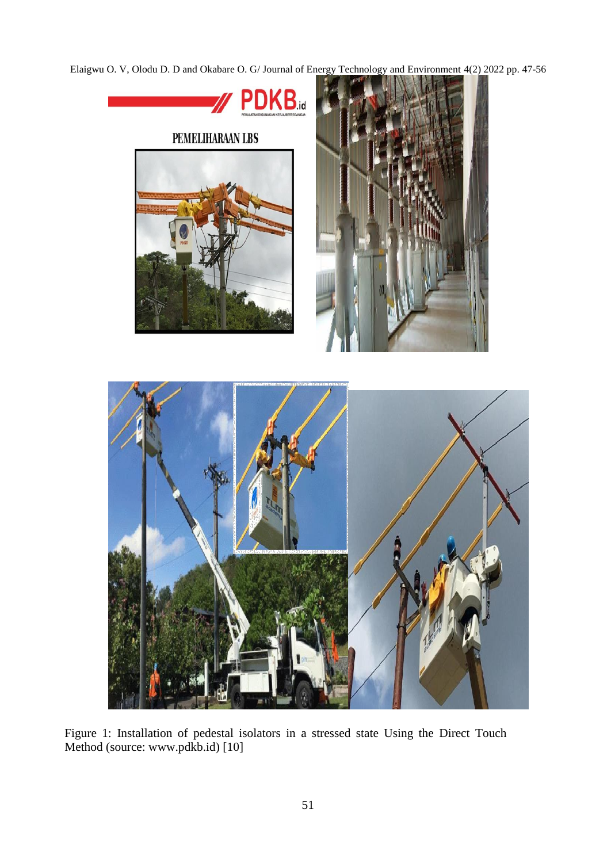

Figure 1: Installation of pedestal isolators in a stressed state Using the Direct Touch Method (source: [www.pdkb.id\)](http://www.pdkb.id/) [10]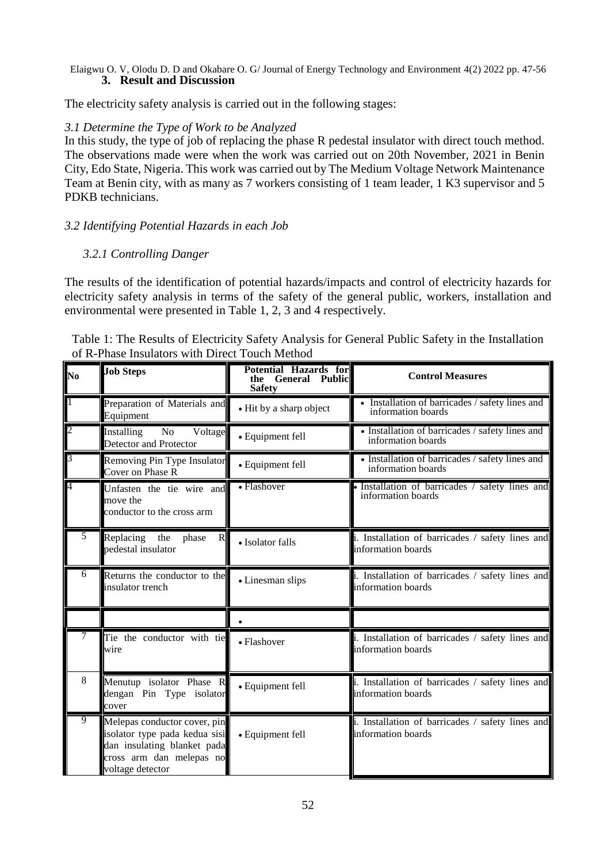#### Elaigwu O. V, Olodu D. D and Okabare O. G/ Journal of Energy Technology and Environment 4(2) 2022 pp. 47-56 **3. Result and Discussion**

The electricity safety analysis is carried out in the following stages:

## *3.1 Determine the Type of Work to be Analyzed*

In this study, the type of job of replacing the phase R pedestal insulator with direct touch method. The observations made were when the work was carried out on 20th November, 2021 in Benin City, Edo State, Nigeria. This work was carried out by The Medium Voltage Network Maintenance Team at Benin city, with as many as 7 workers consisting of 1 team leader, 1 K3 supervisor and 5 PDKB technicians.

# *3.2 Identifying Potential Hazards in each Job*

# *3.2.1 Controlling Danger*

The results of the identification of potential hazards/impacts and control of electricity hazards for electricity safety analysis in terms of the safety of the general public, workers, installation and environmental were presented in Table 1, 2, 3 and 4 respectively.

| Table 1: The Results of Electricity Safety Analysis for General Public Safety in the Installation |
|---------------------------------------------------------------------------------------------------|
| of R-Phase Insulators with Direct Touch Method                                                    |

| N <sub>0</sub> | <b>Job Steps</b>                                                                                                                             | Potential Hazards for<br><b>General Public</b><br>the<br><b>Safety</b>                           | <b>Control Measures</b>                                                |  |
|----------------|----------------------------------------------------------------------------------------------------------------------------------------------|--------------------------------------------------------------------------------------------------|------------------------------------------------------------------------|--|
| $\mathbf{1}$   | Preparation of Materials and<br>Equipment                                                                                                    | • Installation of barricades / safety lines and<br>• Hit by a sharp object<br>information boards |                                                                        |  |
| $\overline{2}$ | No<br>Voltage<br>Installing<br>Detector and Protector                                                                                        | · Equipment fell                                                                                 | • Installation of barricades / safety lines and<br>information boards  |  |
| 3              | Removing Pin Type Insulator<br>Cover on Phase R                                                                                              | • Equipment fell                                                                                 | • Installation of barricades / safety lines and<br>information boards  |  |
| 4              | Unfasten the tie wire and<br>move the<br>conductor to the cross arm                                                                          | • Installation of barricades $/$ safety lines and information boards<br>• Flashover              |                                                                        |  |
|                | Replacing the<br>phase<br>R<br>pedestal insulator                                                                                            | • Isolator falls                                                                                 | i. Installation of barricades / safety lines and<br>information boards |  |
| 6              | Returns the conductor to the<br>insulator trench                                                                                             | • Linesman slips                                                                                 | i. Installation of barricades / safety lines and<br>information boards |  |
|                |                                                                                                                                              |                                                                                                  |                                                                        |  |
|                | Tie the conductor with tie<br>wire                                                                                                           | • Flashover                                                                                      | i. Installation of barricades / safety lines and<br>information boards |  |
| 8              | Menutup isolator Phase R<br>dengan Pin Type isolator<br>cover                                                                                | i. Installation of barricades / safety lines and<br>· Equipment fell<br>information boards       |                                                                        |  |
| $\overline{9}$ | Melepas conductor cover, pin<br>isolator type pada kedua sisi<br>dan insulating blanket pada<br>cross arm dan melepas no<br>voltage detector | • Equipment fell                                                                                 | i. Installation of barricades / safety lines and<br>information boards |  |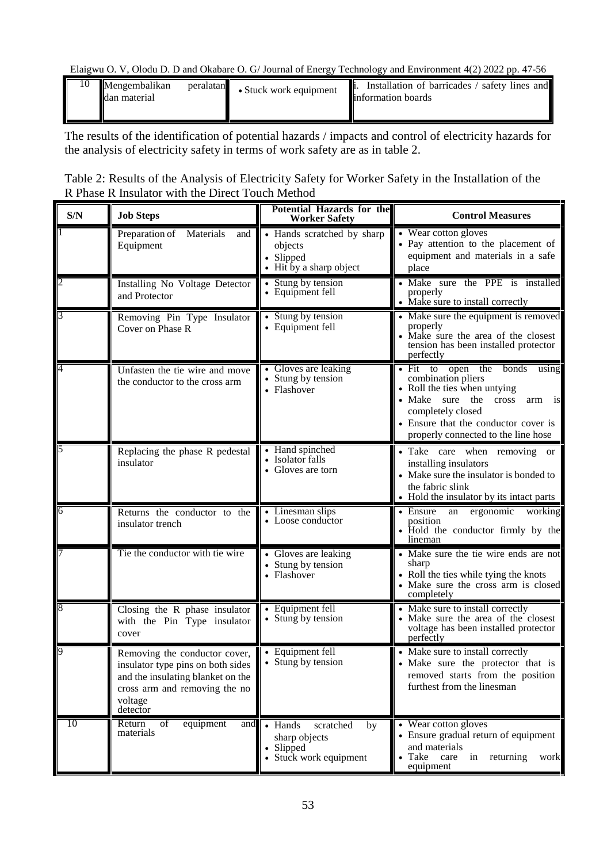| 10 | Mengembalikan<br>ldan material | peralatan | • Stuck work equipment | Installation of barricades /<br>safety lines and<br>information boards |
|----|--------------------------------|-----------|------------------------|------------------------------------------------------------------------|
|    |                                |           |                        |                                                                        |

The results of the identification of potential hazards / impacts and control of electricity hazards for the analysis of electricity safety in terms of work safety are as in table 2.

| Table 2: Results of the Analysis of Electricity Safety for Worker Safety in the Installation of the |  |
|-----------------------------------------------------------------------------------------------------|--|
| R Phase R Insulator with the Direct Touch Method                                                    |  |

| S/N            | <b>Job Steps</b>                                                                                                                                                | <b>Potential Hazards for the</b><br><b>Worker Safety</b>                           | <b>Control Measures</b>                                                                                                                                                                                                          |
|----------------|-----------------------------------------------------------------------------------------------------------------------------------------------------------------|------------------------------------------------------------------------------------|----------------------------------------------------------------------------------------------------------------------------------------------------------------------------------------------------------------------------------|
|                | Preparation of Materials<br>and<br>Equipment                                                                                                                    | • Hands scratched by sharp<br>objects<br>• Slipped<br>• Hit by a sharp object      | • Wear cotton gloves<br>• Pay attention to the placement of<br>equipment and materials in a safe<br>place                                                                                                                        |
|                | Installing No Voltage Detector<br>and Protector                                                                                                                 | • Stung by tension<br>• Equipment fell                                             | • Make sure the PPE is installed<br>properly<br>• Make sure to install correctly                                                                                                                                                 |
| 3              | Removing Pin Type Insulator<br>Cover on Phase R                                                                                                                 | • Stung by tension<br>• Equipment fell                                             | • Make sure the equipment is removed<br>properly<br>• Make sure the area of the closest<br>tension has been installed protector<br>perfectly                                                                                     |
| 4              | Unfasten the tie wire and move<br>the conductor to the cross arm                                                                                                | • Gloves are leaking<br>• Stung by tension<br>• Flashover                          | • Fit to open the bonds<br>using<br>combination pliers<br>• Roll the ties when untying<br>• Make sure the<br>cross<br>arm is<br>completely closed<br>• Ensure that the conductor cover is<br>properly connected to the line hose |
| 5              | Replacing the phase R pedestal<br>insulator                                                                                                                     | • Hand spinched<br>• Isolator falls<br>• Gloves are torn                           | · Take care when removing or<br>installing insulators<br>• Make sure the insulator is bonded to<br>the fabric slink<br>• Hold the insulator by its intact parts                                                                  |
| $\overline{6}$ | Returns the conductor to the<br>insulator trench                                                                                                                | • Linesman slips<br>• Loose conductor                                              | $\bullet$ Ensure<br>ergonomic<br>working<br>an<br>position<br>• Hold the conductor firmly by the<br>lineman                                                                                                                      |
|                | Tie the conductor with tie wire                                                                                                                                 | • Gloves are leaking<br>• Stung by tension<br>• Flashover                          | • Make sure the tie wire ends are not<br>sharp<br>• Roll the ties while tying the knots<br>• Make sure the cross arm is closed<br>completely                                                                                     |
| 8              | Closing the R phase insulator<br>with the Pin Type insulator<br>cover                                                                                           | • Equipment fell<br>• Stung by tension                                             | • Make sure to install correctly<br>• Make sure the area of the closest<br>voltage has been installed protector<br>perfectly                                                                                                     |
|                | Removing the conductor cover,<br>insulator type pins on both sides<br>and the insulating blanket on the<br>cross arm and removing the no<br>voltage<br>detector | • Equipment fell<br>• Stung by tension                                             | • Make sure to install correctly<br>• Make sure the protector that is<br>removed starts from the position<br>furthest from the linesman                                                                                          |
| 10             | Return<br>equipment<br>οf<br>and<br>materials                                                                                                                   | • Hands<br>scratched<br>by<br>sharp objects<br>• Slipped<br>• Stuck work equipment | • Wear cotton gloves<br>• Ensure gradual return of equipment<br>and materials<br>returning<br>• Take care<br>in<br>work<br>equipment                                                                                             |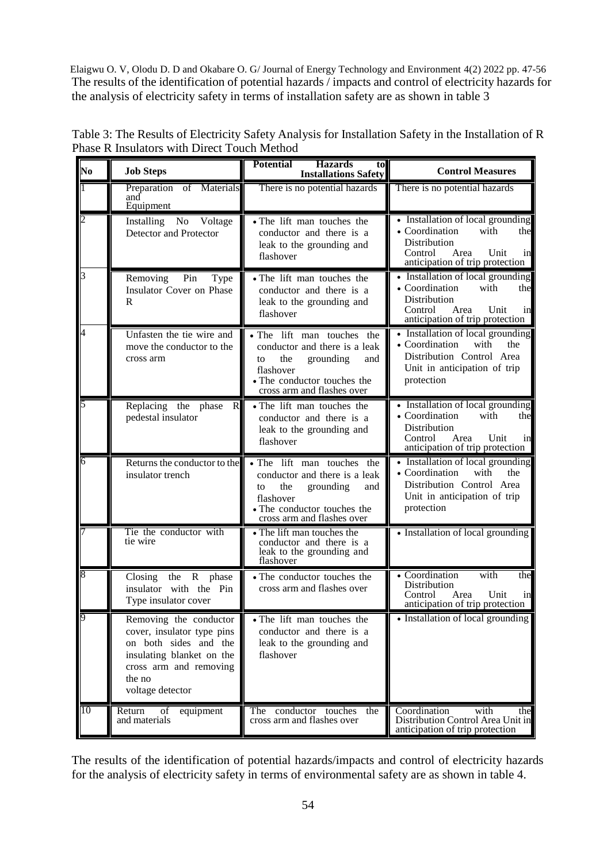Elaigwu O. V, Olodu D. D and Okabare O. G/ Journal of Energy Technology and Environment 4(2) 2022 pp. 47-56 The results of the identification of potential hazards / impacts and control of electricity hazards for the analysis of electricity safety in terms of installation safety are as shown in table 3

| N <sub>0</sub> | <b>Job Steps</b>                                                                                                                                                   | <b>Potential</b><br><b>Hazards</b><br>to<br><b>Installations Safety</b>                                                                                                | <b>Control Measures</b>                                                                                                                                |
|----------------|--------------------------------------------------------------------------------------------------------------------------------------------------------------------|------------------------------------------------------------------------------------------------------------------------------------------------------------------------|--------------------------------------------------------------------------------------------------------------------------------------------------------|
|                | of Materials<br>Preparation<br>and<br>Equipment                                                                                                                    | There is no potential hazards                                                                                                                                          | There is no potential hazards                                                                                                                          |
| 2              | Installing<br>No<br>Voltage<br>Detector and Protector                                                                                                              | • The lift man touches the<br>conductor and there is a<br>leak to the grounding and<br>flashover                                                                       | • Installation of local grounding<br>• Coordination<br>with<br>the<br>Distribution<br>Area<br>Unit<br>Control<br>in<br>anticipation of trip protection |
| 3              | Pin<br>Removing<br>Type<br>Insulator Cover on Phase<br>R                                                                                                           | • The lift man touches the<br>conductor and there is a<br>leak to the grounding and<br>flashover                                                                       | • Installation of local grounding<br>• Coordination<br>with<br>the<br>Distribution<br>Area<br>Control<br>Unit<br>in<br>anticipation of trip protection |
| 4              | Unfasten the tie wire and<br>move the conductor to the<br>cross arm                                                                                                | • The lift man touches the<br>conductor and there is a leak<br>the<br>grounding<br>and<br>to<br>flashover<br>• The conductor touches the<br>cross arm and flashes over | • Installation of local grounding<br>• Coordination<br>with<br>the<br>Distribution Control Area<br>Unit in anticipation of trip<br>protection          |
| 5              | Replacing the phase<br>R<br>pedestal insulator                                                                                                                     | • The lift man touches the<br>conductor and there is a<br>leak to the grounding and<br>flashover                                                                       | • Installation of local grounding<br>• Coordination<br>with<br>the<br>Distribution<br>Area<br>Unit<br>Control<br>in<br>anticipation of trip protection |
| 6              | Returns the conductor to the<br>insulator trench                                                                                                                   | • The lift man touches the<br>conductor and there is a leak<br>the<br>grounding<br>and<br>to<br>flashover<br>• The conductor touches the<br>cross arm and flashes over | • Installation of local grounding<br>• Coordination<br>with<br>the<br>Distribution Control Area<br>Unit in anticipation of trip<br>protection          |
|                | Tie the conductor with<br>tie wire                                                                                                                                 | • The lift man touches the<br>conductor and there is a<br>leak to the grounding and<br>flashover                                                                       | • Installation of local grounding                                                                                                                      |
| 8              | Closing<br>the R phase<br>insulator with the Pin<br>Type insulator cover                                                                                           | • The conductor touches the<br>cross arm and flashes over                                                                                                              | with<br>• Coordination<br>the<br>Distribution<br>Unit<br>Control<br>Area<br>in<br>anticipation of trip protection                                      |
|                | Removing the conductor<br>cover, insulator type pins<br>on both sides and the<br>insulating blanket on the<br>cross arm and removing<br>the no<br>voltage detector | • The lift man touches the<br>conductor and there is a<br>leak to the grounding and<br>flashover                                                                       | • Installation of local grounding                                                                                                                      |
| 10             | Return<br>equipment<br>of<br>and materials                                                                                                                         | The conductor touches<br>the<br>cross arm and flashes over                                                                                                             | Coordination<br>with<br>the<br>Distribution Control Area Unit in<br>anticipation of trip protection                                                    |

| Table 3: The Results of Electricity Safety Analysis for Installation Safety in the Installation of R |  |
|------------------------------------------------------------------------------------------------------|--|
| Phase R Insulators with Direct Touch Method                                                          |  |

The results of the identification of potential hazards/impacts and control of electricity hazards for the analysis of electricity safety in terms of environmental safety are as shown in table 4.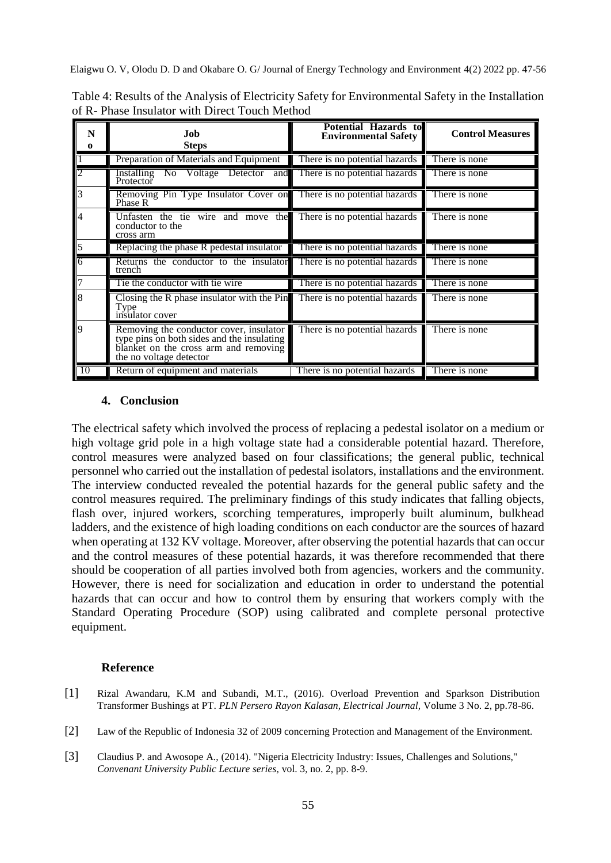| Table 4: Results of the Analysis of Electricity Safety for Environmental Safety in the Installation |  |
|-----------------------------------------------------------------------------------------------------|--|
| of R- Phase Insulator with Direct Touch Method                                                      |  |

| $\bf{0}$                           | Job<br><b>Steps</b>                                                                                                                                       | Potential Hazards to<br><b>Environmental Safety</b> | <b>Control Measures</b> |
|------------------------------------|-----------------------------------------------------------------------------------------------------------------------------------------------------------|-----------------------------------------------------|-------------------------|
|                                    | Preparation of Materials and Equipment                                                                                                                    | There is no potential hazards                       | There is none           |
| $\overline{2}$                     | Installing No Voltage Detector and There is no potential hazards<br>Protector                                                                             |                                                     | There is none           |
| $\overline{\overline{\mathbf{3}}}$ | Removing Pin Type Insulator Cover on There is no potential hazards<br>Phase R                                                                             |                                                     | There is none           |
| $\overline{4}$                     | Unfasten the tie wire and move the There is no potential hazards<br>conductor to the<br>cross arm                                                         |                                                     | There is none           |
| 5                                  | Replacing the phase R pedestal insulator                                                                                                                  | There is no potential hazards                       | There is none           |
| $\overline{16}$                    | Returns the conductor to the insulator<br>trench                                                                                                          | There is no potential hazards                       | There is none           |
| $\frac{7}{8}$                      | Tie the conductor with tie wire                                                                                                                           | There is no potential hazards                       | There is none           |
|                                    | Closing the R phase insulator with the $Pin$<br>Type<br>insulator cover                                                                                   | There is no potential hazards                       | There is none           |
| $\overline{9}$                     | Removing the conductor cover, insulator<br>type pins on both sides and the insulating<br>blanket on the cross arm and removing<br>the no voltage detector | There is no potential hazards                       | There is none           |
| l 10                               | Return of equipment and materials                                                                                                                         | There is no potential hazards                       | There is none           |

#### **4. Conclusion**

The electrical safety which involved the process of replacing a pedestal isolator on a medium or high voltage grid pole in a high voltage state had a considerable potential hazard. Therefore, control measures were analyzed based on four classifications; the general public, technical personnel who carried out the installation of pedestal isolators, installations and the environment. The interview conducted revealed the potential hazards for the general public safety and the control measures required. The preliminary findings of this study indicates that falling objects, flash over, injured workers, scorching temperatures, improperly built aluminum, bulkhead ladders, and the existence of high loading conditions on each conductor are the sources of hazard when operating at 132 KV voltage. Moreover, after observing the potential hazards that can occur and the control measures of these potential hazards, it was therefore recommended that there should be cooperation of all parties involved both from agencies, workers and the community. However, there is need for socialization and education in order to understand the potential hazards that can occur and how to control them by ensuring that workers comply with the Standard Operating Procedure (SOP) using calibrated and complete personal protective equipment.

#### **Reference**

- [1] Rizal Awandaru, K.M and Subandi, M.T., (2016). Overload Prevention and Sparkson Distribution Transformer Bushings at PT. *PLN Persero Rayon Kalasan, Electrical Journal,* Volume 3 No. 2, pp.78-86.
- [2] Law of the Republic of Indonesia 32 of 2009 concerning Protection and Management of the Environment.
- [3] Claudius P. and Awosope A., (2014). "Nigeria Electricity Industry: Issues, Challenges and Solutions," *Convenant University Public Lecture series,* vol. 3, no. 2, pp. 8-9.